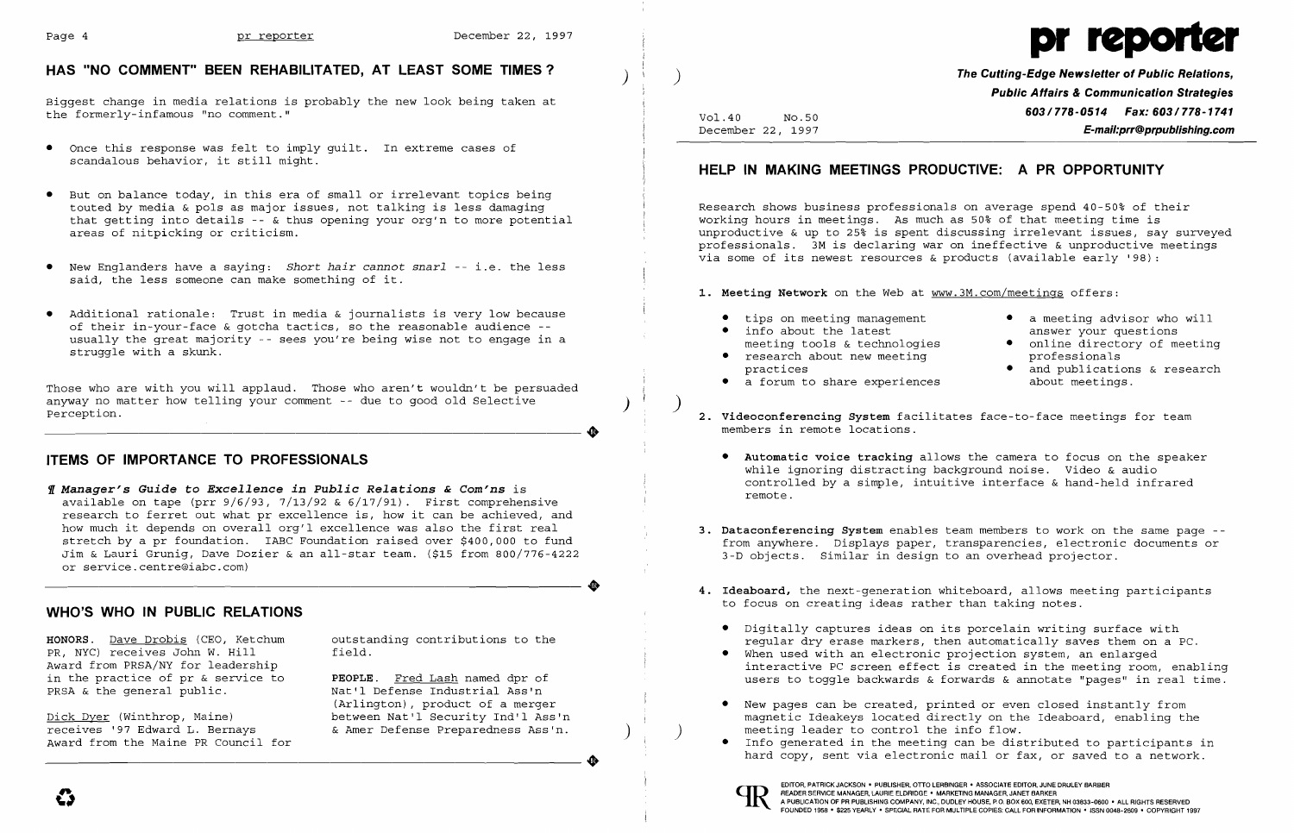

December 22, 1997 **E-mail:prr@prpublishing.com** 

- 
- 
- 

while ignoring distracting background noise. Video & audio<br>controlled by a simple, intuitive interface & hand-held infrared

Award from PRSA/NY for leadership<br>interactive PC screen effect is created in the meeting room, enabling<br>in the practice of pr & service to **PEOPLE**. Fred Lash named dpr of and the man is external summer and the service to

Info generated in the meeting can be distributed to participants in hard copy, sent via electronic mail or fax, or saved to a network. hard from the Maine PR Council for<br>
Award from the Maine PR Council for<br>
Award from the Maine PR Council for<br>
Award from the Maine PR Council for<br>
Award from the Maine PR Council for<br>
Award from the Maine PR Council for<br>
A

unproductive & up to 25% is spent discussing irrelevant issues, say surveyed professionals. 3M is declaring war on ineffective & unproductive meetings via some of its newest resources & products (available early '98):

**1. Meeting Network** on the Web at www.3M.com/meetings offers:

*Il* Manager's Guide to Excellence in Public Relations & Com'ns is<br>available on tape (prr  $9/6/93$ ,  $7/13/92$  &  $6/17/91$ ). First comprehensive research to ferret out what pr excellence is, how it can be achieved, and<br>how much it depends on overall org'l excellence was also the first real how much it depends on overall org'l excellence was also the first real [1887]. Dataconferencing System enables team members to work on the same page --<br>stretch by a pr foundation. IABC Foundation raised over \$400,000 to f Jim & Lauri Grunig, Dave Dozier & an all-star team. (\$15 from 800/776-4222 or service.centre@iabc.com)

HONORS. <u>Dave Drobis</u> (CEO, Ketchum outstanding contributions to the regular dry erase markers, then automatically saves them on a PC.<br>PR, NYC) receives John W. Hill field. [19] field. PR, NYC) receives John W. Hill field. • When used with an electronic projection system, an enlarged in the practice of pr & service to **PEOPLE.** Fred Lash named dpr of users to toggle backwards & forwards & annotate "pages" in real time.

Dick Dyer (Winthrop, Maine) between Nat'l Security Ind'l Ass'n magnetic Ideakeys located directly on the Ideaboard, enabling the receives '97 Edward L. Bernays (Amer Defense Preparedness Ass'n. ) ) meeting leader to contro receives '97 Edward L. Bernays and the Amer Defense Preparedness Ass'n. (and the meeting leader to control the info flow.<br>Award from the Maine PR Council for and the Main and the meeting can be dist

Nat'l Defense Industrial Ass'n<br>(Arlington), product of a merger (Arlington), product of a merger  $\qquad \qquad \qquad \qquad \qquad$  New pages can be created, printed or even closed instantly from<br>between Nat'l Security Ind'l Ass'n magnetic Ideakeys located directly on the Idea

| Vol.40            | No.50 |  |
|-------------------|-------|--|
| December 22, 1997 |       |  |

## **HELP IN MAKING MEETINGS PRODUCTIVE: A PR OPPORTUNITY**

•

# HAS "NO COMMENT" BEEN REHABILITATED, AT LEAST SOME TIMES? **And its and the Cutting-Edge Newsletter of Public Relations,**  $\overline{a}$

Biggest change in media relations is probably the new look being taken at **Exercise Public Affairs & Communication Strategies**<br>The formerly-infamous "no comment." **Exercise 2003/778-1741** the formerly-infamous "no comment."

- Once this response was felt to imply guilt. In extreme cases of<br>scandalous behavior, it still might.
- • But on balance today, in this era of small or irrelevant topics being touted by media & pols as major issues, not talking is less damaging<br>that getting into details -- & thus opening your org'n to more potential and the working hours in meetings. As much as 50% of that meeting time is that getting into details  $-\alpha$  thus opening your org'n to more potential areas of nitpicking or criticism.
- • New Englanders have a saying: *Short hair cannot snarl* -- i.e. the less said, the less someone can make something of it.
- Additional rationale: Trust in media & journalists is very low because<br>
of their in-your-face & gotcha tactics, so the reasonable audience --<br>
usually the great majority -- sees you're being wise not to engage in a<br>
str

Those who are with you will applaud. Those who aren't wouldn't be persuaded<br>anyway no matter how telling your comment -- due to good old Selective Perception. **2.** Videoconferencing System facilitates face-to-face meetings for team

## **Automatic voice tracking allows the camera to focus on the speaker <b>ITEMS OF IMPORTANCE TO PROFESSIONALS** • **Automatic voice tracking allows** the camera to focus on the speaker

- 
- 
- practices and publications & research
- 
- members in remote locations .
	-
- 
- **4. Ideaboard,** the next-generation whiteboard, allows meeting participants **WHO'S WHO IN PUBLIC RELATIONS WHO'S WHO IN PUBLIC RELATIONS** 
	- Digitally captures ideas on its porcelain writing surface with
	-
	-
	-